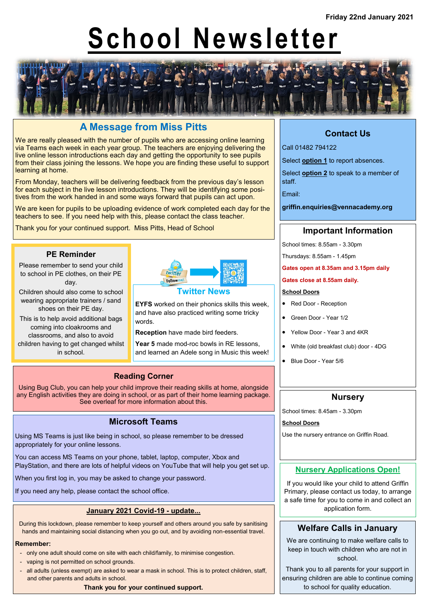# **School Newsletter**



# **A Message from Miss Pitts**

We are really pleased with the number of pupils who are accessing online learning via Teams each week in each year group. The teachers are enjoying delivering the live online lesson introductions each day and getting the opportunity to see pupils from their class joining the lessons. We hope you are finding these useful to support learning at home.

From Monday, teachers will be delivering feedback from the previous day's lesson for each subject in the live lesson introductions. They will be identifying some positives from the work handed in and some ways forward that pupils can act upon.

We are keen for pupils to be uploading evidence of work completed each day for the teachers to see. If you need help with this, please contact the class teacher.

Thank you for your continued support. Miss Pitts, Head of School

## **PE Reminder**

Please remember to send your child to school in PE clothes, on their PE day.

Children should also come to school wearing appropriate trainers / sand shoes on their PE day.

This is to help avoid additional bags coming into cloakrooms and classrooms, and also to avoid children having to get changed whilst in school.



#### **Twitter News**

**EYFS** worked on their phonics skills this week, and have also practiced writing some tricky words.

**Reception** have made bird feeders.

**Year 5** made mod-roc bowls in RE lessons, and learned an Adele song in Music this week!

## **Reading Corner**

Using Bug Club, you can help your child improve their reading skills at home, alongside any English activities they are doing in school, or as part of their home learning package. See overleaf for more information about this.

## **Microsoft Teams**

Using MS Teams is just like being in school, so please remember to be dressed appropriately for your online lessons.

You can access MS Teams on your phone, tablet, laptop, computer, Xbox and PlayStation, and there are lots of helpful videos on YouTube that will help you get set up.

When you first log in, you may be asked to change your password.

If you need any help, please contact the school office.

# **January 2021 Covid-19 - update...**

During this lockdown, please remember to keep yourself and others around you safe by sanitising hands and maintaining social distancing when you go out, and by avoiding non-essential travel.

## **Remember:**

- only one adult should come on site with each child/family, to minimise congestion.
- vaping is not permitted on school grounds.
- all adults (unless exempt) are asked to wear a mask in school. This is to protect children, staff, and other parents and adults in school.

**Thank you for your continued support.**

# **Contact Us**

Call 01482 794122

Select **option 1** to report absences.

Select **option 2** to speak to a member of staff.

Email:

**griffin.enquiries@vennacademy.org**

# **Important Information**

School times: 8.55am - 3.30pm

Thursdays: 8.55am - 1.45pm

**Gates open at 8.35am and 3.15pm daily**

#### **Gates close at 8.55am daily.**

### **School Doors**

• Red Door - Reception

- Green Door Year 1/2
- Yellow Door Year 3 and 4KR
- White (old breakfast club) door 4DG
- Blue Door Year 5/6

## **Nursery**

School times: 8.45am - 3.30pm

**School Doors**

Use the nursery entrance on Griffin Road.

## **Nursery Applications Open!**

If you would like your child to attend Griffin Primary, please contact us today, to arrange a safe time for you to come in and collect an application form.

# **Welfare Calls in January**

We are continuing to make welfare calls to keep in touch with children who are not in school.

Thank you to all parents for your support in ensuring children are able to continue coming to school for quality education.